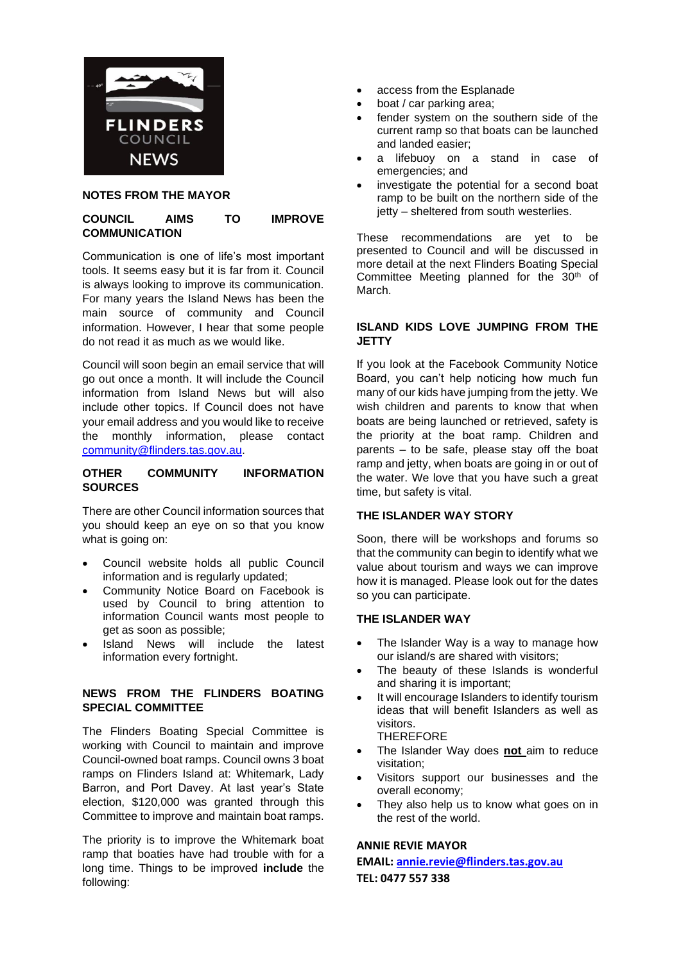

## **NOTES FROM THE MAYOR**

## **COUNCIL AIMS TO IMPROVE COMMUNICATION**

Communication is one of life's most important tools. It seems easy but it is far from it. Council is always looking to improve its communication. For many years the Island News has been the main source of community and Council information. However, I hear that some people do not read it as much as we would like.

Council will soon begin an email service that will go out once a month. It will include the Council information from Island News but will also include other topics. If Council does not have your email address and you would like to receive the monthly information, please contact [community@flinders.tas.gov.au.](mailto:community@flinders.tas.gov.au)

#### **OTHER COMMUNITY INFORMATION SOURCES**

There are other Council information sources that you should keep an eye on so that you know what is going on:

- Council website holds all public Council information and is regularly updated;
- Community Notice Board on Facebook is used by Council to bring attention to information Council wants most people to get as soon as possible;
- Island News will include the latest information every fortnight.

## **NEWS FROM THE FLINDERS BOATING SPECIAL COMMITTEE**

The Flinders Boating Special Committee is working with Council to maintain and improve Council-owned boat ramps. Council owns 3 boat ramps on Flinders Island at: Whitemark, Lady Barron, and Port Davey. At last year's State election, \$120,000 was granted through this Committee to improve and maintain boat ramps.

The priority is to improve the Whitemark boat ramp that boaties have had trouble with for a long time. Things to be improved **include** the following:

- access from the Esplanade
- boat / car parking area;
- fender system on the southern side of the current ramp so that boats can be launched and landed easier;
- a lifebuoy on a stand in case of emergencies; and
- investigate the potential for a second boat ramp to be built on the northern side of the jetty – sheltered from south westerlies.

These recommendations are yet to be presented to Council and will be discussed in more detail at the next Flinders Boating Special Committee Meeting planned for the 30<sup>th</sup> of March.

## **ISLAND KIDS LOVE JUMPING FROM THE JETTY**

If you look at the Facebook Community Notice Board, you can't help noticing how much fun many of our kids have jumping from the jetty. We wish children and parents to know that when boats are being launched or retrieved, safety is the priority at the boat ramp. Children and parents – to be safe, please stay off the boat ramp and jetty, when boats are going in or out of the water. We love that you have such a great time, but safety is vital.

## **THE ISLANDER WAY STORY**

Soon, there will be workshops and forums so that the community can begin to identify what we value about tourism and ways we can improve how it is managed. Please look out for the dates so you can participate.

#### **THE ISLANDER WAY**

- The Islander Way is a way to manage how our island/s are shared with visitors;
- The beauty of these Islands is wonderful and sharing it is important;
- It will encourage Islanders to identify tourism ideas that will benefit Islanders as well as visitors.

THEREFORE

- The Islander Way does **not** aim to reduce visitation;
- Visitors support our businesses and the overall economy;
- They also help us to know what goes on in the rest of the world.

## **ANNIE REVIE MAYOR**

**EMAIL[: annie.revie@flinders.tas.gov.au](mailto:annie.revie@flinders.tas.gov.au) TEL: 0477 557 338**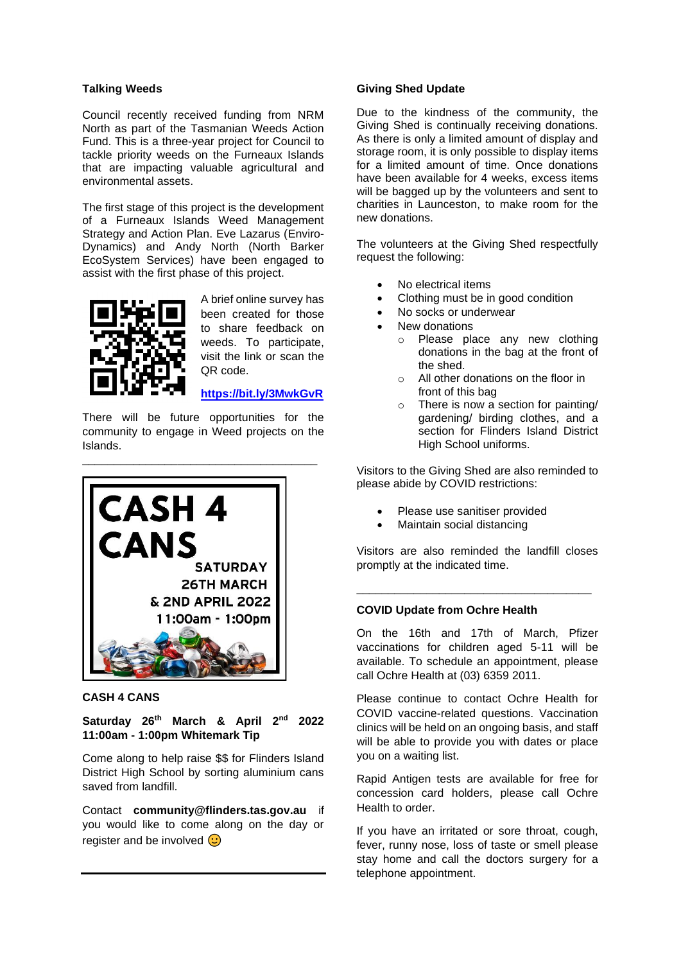#### **Talking Weeds**

Council recently received funding from NRM North as part of the Tasmanian Weeds Action Fund. This is a three-year project for Council to tackle priority weeds on the Furneaux Islands that are impacting valuable agricultural and environmental assets.

The first stage of this project is the development of a Furneaux Islands Weed Management Strategy and Action Plan. Eve Lazarus (Enviro-Dynamics) and Andy North (North Barker EcoSystem Services) have been engaged to assist with the first phase of this project.



A brief online survey has been created for those to share feedback on weeds. To participate, visit the link or scan the QR code.

#### **<https://bit.ly/3MwkGvR>**

There will be future opportunities for the community to engage in Weed projects on the Islands.



#### **CASH 4 CANS**

**Saturday 26th March & April 2nd 2022 11:00am - 1:00pm Whitemark Tip**

Come along to help raise \$\$ for Flinders Island District High School by sorting aluminium cans saved from landfill.

Contact **community@flinders.tas.gov.au** if you would like to come along on the day or register and be involved  $\odot$ 

## **Giving Shed Update**

Due to the kindness of the community, the Giving Shed is continually receiving donations. As there is only a limited amount of display and storage room, it is only possible to display items for a limited amount of time. Once donations have been available for 4 weeks, excess items will be bagged up by the volunteers and sent to charities in Launceston, to make room for the new donations.

The volunteers at the Giving Shed respectfully request the following:

- No electrical items
- Clothing must be in good condition
- No socks or underwear
- New donations
	- o Please place any new clothing donations in the bag at the front of the shed.
	- o All other donations on the floor in front of this bag
	- o There is now a section for painting/ gardening/ birding clothes, and a section for Flinders Island District High School uniforms.

Visitors to the Giving Shed are also reminded to please abide by COVID restrictions:

- Please use sanitiser provided
- Maintain social distancing

Visitors are also reminded the landfill closes promptly at the indicated time.

**\_\_\_\_\_\_\_\_\_\_\_\_\_\_\_\_\_\_\_\_\_\_\_\_\_\_\_\_\_\_\_\_\_\_\_\_\_**

#### **COVID Update from Ochre Health**

On the 16th and 17th of March, Pfizer vaccinations for children aged 5-11 will be available. To schedule an appointment, please call Ochre Health at (03) 6359 2011.

Please continue to contact Ochre Health for COVID vaccine-related questions. Vaccination clinics will be held on an ongoing basis, and staff will be able to provide you with dates or place you on a waiting list.

Rapid Antigen tests are available for free for concession card holders, please call Ochre Health to order.

If you have an irritated or sore throat, cough, fever, runny nose, loss of taste or smell please stay home and call the doctors surgery for a telephone appointment.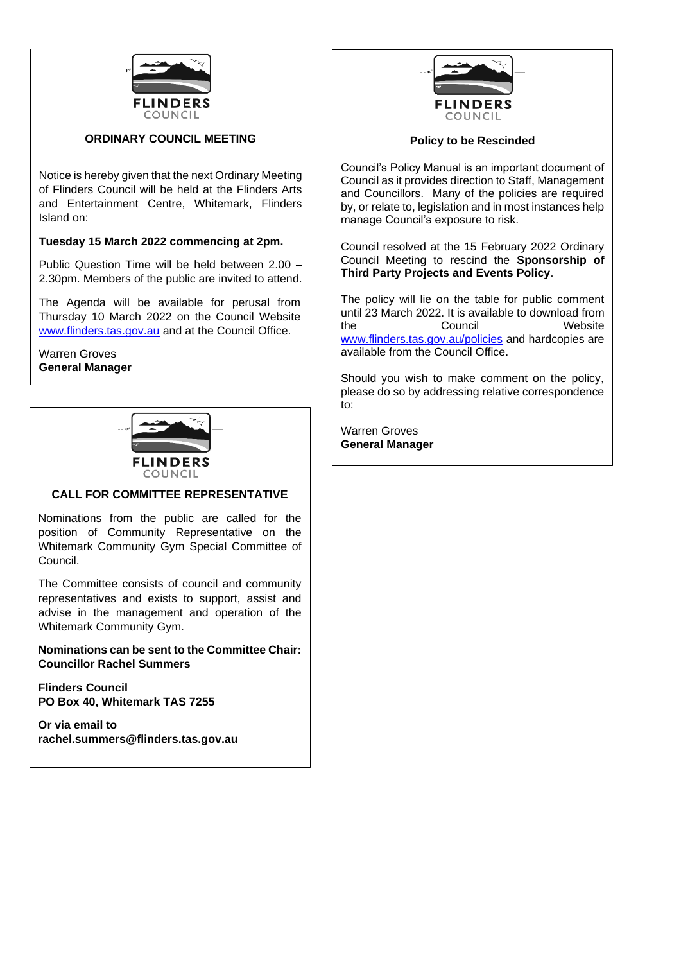

## **ORDINARY COUNCIL MEETING**

Notice is hereby given that the next Ordinary Meeting of Flinders Council will be held at the Flinders Arts and Entertainment Centre, Whitemark, Flinders Island on:

## **Tuesday 15 March 2022 commencing at 2pm.**

Public Question Time will be held between 2.00 – 2.30pm. Members of the public are invited to attend.

The Agenda will be available for perusal from Thursday 10 March 2022 on the Council Website [www.flinders.tas.gov.au](http://www.flinders.tas.gov.au/) and at the Council Office.

Warren Groves **General Manager**



## **CALL FOR COMMITTEE REPRESENTATIVE**

Nominations from the public are called for the position of Community Representative on the Whitemark Community Gym Special Committee of Council.

The Committee consists of council and community representatives and exists to support, assist and advise in the management and operation of the Whitemark Community Gym.

**Nominations can be sent to the Committee Chair: Councillor Rachel Summers**

**Flinders Council PO Box 40, Whitemark TAS 7255**

**Or via email to rachel.summers@flinders.tas.gov.au**



#### **Policy to be Rescinded**

Council's Policy Manual is an important document of Council as it provides direction to Staff, Management and Councillors. Many of the policies are required by, or relate to, legislation and in most instances help manage Council's exposure to risk.

Council resolved at the 15 February 2022 Ordinary Council Meeting to rescind the **Sponsorship of Third Party Projects and Events Policy**.

The policy will lie on the table for public comment until 23 March 2022. It is available to download from the Council Website [www.flinders.tas.gov.au/policies](http://www.flinders.tas.gov.au/policies) and hardcopies are available from the Council Office.

Should you wish to make comment on the policy, please do so by addressing relative correspondence to:

Warren Groves **General Manager**